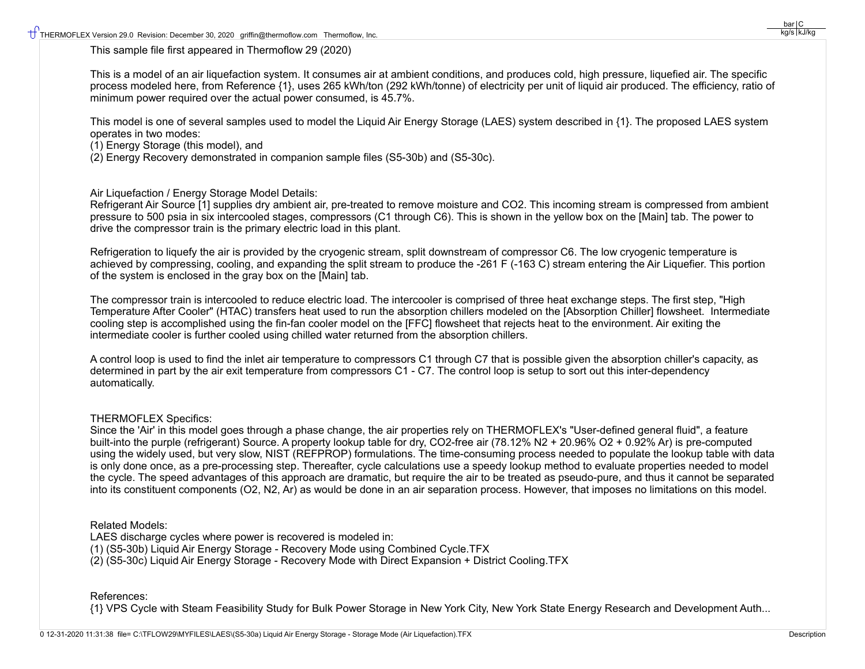This sample file first appeared in Thermoflow 29 (2020)

This is a model of an air liquefaction system. It consumes air at ambient conditions, and produces cold, high pressure, liquefied air. The specific process modeled here, from Reference {1}, uses 265 kWh/ton (292 kWh/tonne) of electricity per unit of liquid air produced. The efficiency, ratio of minimum power required over the actual power consumed, is 45.7%.

This model is one of several samples used to model the Liquid Air Energy Storage (LAES) system described in {1}. The proposed LAES system operates in two modes:

(1) Energy Storage (this model), and

(2) Energy Recovery demonstrated in companion sample files (S5-30b) and (S5-30c).

Air Liquefaction / Energy Storage Model Details:

Refrigerant Air Source [1] supplies dry ambient air, pre-treated to remove moisture and CO2. This incoming stream is compressed from ambient pressure to 500 psia in six intercooled stages, compressors (C1 through C6). This is shown in the yellow box on the [Main] tab. The power to drive the compressor train is the primary electric load in this plant.

Refrigeration to liquefy the air is provided by the cryogenic stream, split downstream of compressor C6. The low cryogenic temperature is achieved by compressing, cooling, and expanding the split stream to produce the -261 F (-163 C) stream entering the Air Liquefier. This portion of the system is enclosed in the gray box on the [Main] tab.

The compressor train is intercooled to reduce electric load. The intercooler is comprised of three heat exchange steps. The first step, "High Temperature After Cooler" (HTAC) transfers heat used to run the absorption chillers modeled on the [Absorption Chiller] flowsheet. Intermediate cooling step is accomplished using the fin-fan cooler model on the [FFC] flowsheet that rejects heat to the environment. Air exiting the intermediate cooler is further cooled using chilled water returned from the absorption chillers.

A control loop is used to find the inlet air temperature to compressors C1 through C7 that is possible given the absorption chiller's capacity, as determined in part by the air exit temperature from compressors C1 - C7. The control loop is setup to sort out this inter-dependency automatically.

## THERMOFLEX Specifics:

Since the 'Air' in this model goes through a phase change, the air properties rely on THERMOFLEX's "User-defined general fluid", a feature built-into the purple (refrigerant) Source. A property lookup table for dry, CO2-free air (78.12% N2 + 20.96% O2 + 0.92% Ar) is pre-computed using the widely used, but very slow, NIST (REFPROP) formulations. The time-consuming process needed to populate the lookup table with data is only done once, as a pre-processing step. Thereafter, cycle calculations use a speedy lookup method to evaluate properties needed to model the cycle. The speed advantages of this approach are dramatic, but require the air to be treated as pseudo-pure, and thus it cannot be separated into its constituent components (O2, N2, Ar) as would be done in an air separation process. However, that imposes no limitations on this model.

## Related Models:

LAES discharge cycles where power is recovered is modeled in: (1) (S5-30b) Liquid Air Energy Storage - Recovery Mode using Combined Cycle.TFX (2) (S5-30c) Liquid Air Energy Storage - Recovery Mode with Direct Expansion + District Cooling.TFX

## References:

{1} VPS Cycle with Steam Feasibility Study for Bulk Power Storage in New York City, New York State Energy Research and Development Auth...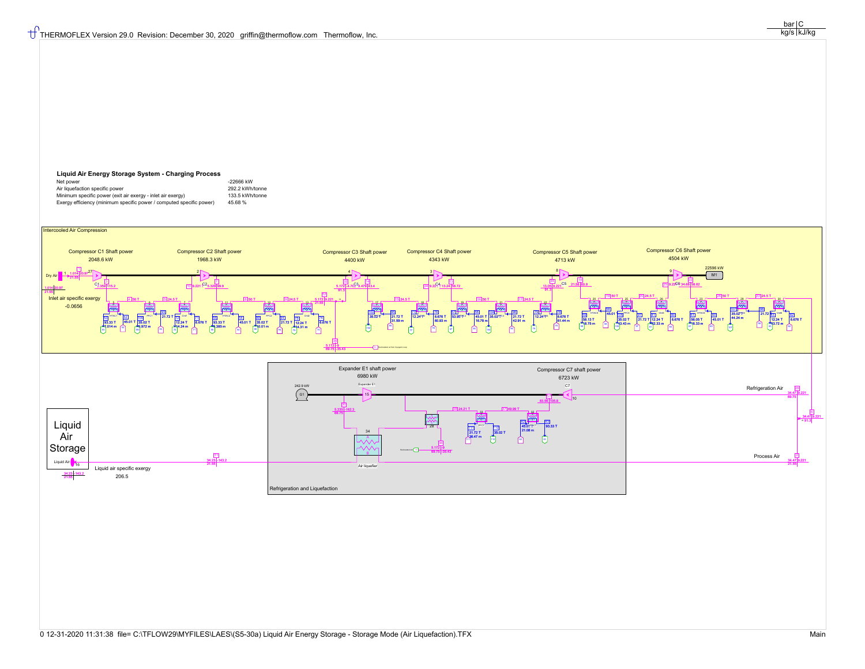## **Liquid Air Energy Storage System - Charging Process**

| Net power                                                            | -22666 kW       |
|----------------------------------------------------------------------|-----------------|
| Air liquefaction specific power                                      | 292.2 kWh/tonne |
| Minimum specific power (exit air exergy - inlet air exergy)          | 133.5 kWh/tonne |
| Exergy efficiency (minimum specific power / computed specific power) | 45.68%          |



 $bar | C$ kg/s kJ/kg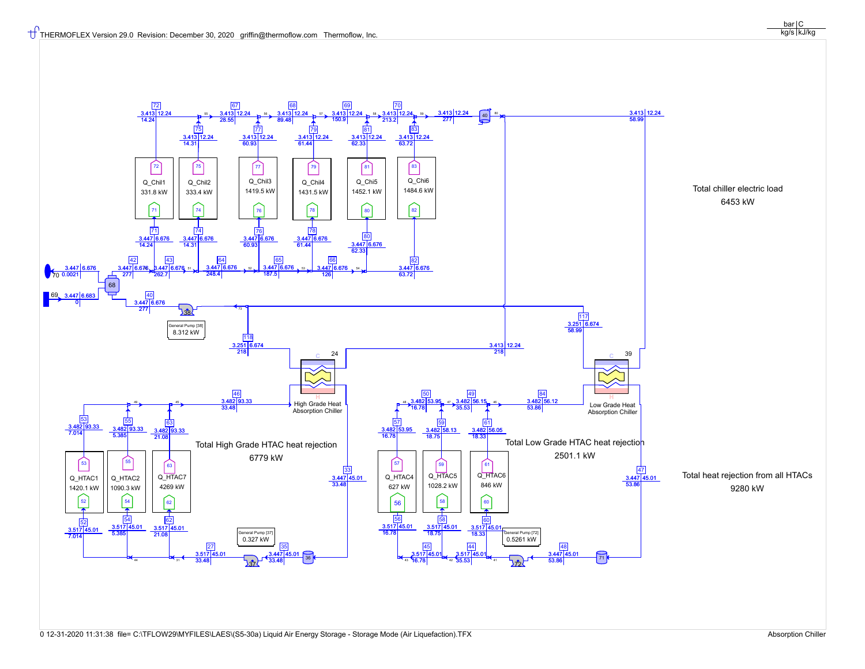